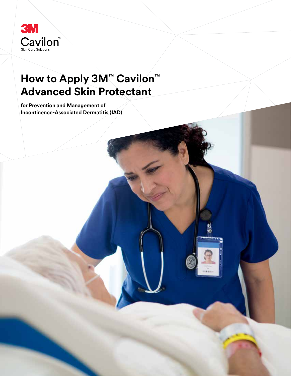

# **How to Apply 3M**™ **Cavilon**™ **Advanced Skin Protectant**

**for Prevention and Management of Incontinence-Associated Dermatitis (IAD)**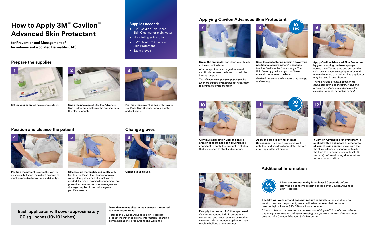### **Each applicator will cover approximately 100 sq. inches (10x10 inches).**

**Supplies needed:** 

• 3M™ Cavilon™ No-Rinse

Skin Cleanser or plain water

• Non-linting soft cloths • 3M™ Cavilon™ Advanced Skin Protectant

• Exam gloves

#### **More than one applicator may be used if required to cover larger areas.**

Refer to the Cavilon Advanced Skin Protectant product insert for additional information regarding contraindications, precautions and warnings.

**Allow the product to dry for at least 60 seconds** before applying an adhesive dressing or tape over Cavilon Advanced Skin Protectant.

**The film will wear off and does not require removal.** In the event you do want to remove the product, use an adhesive remover that contains hexamethyldisiloxane (HMDS) or silicone polymer.

*It's advisable to use an adhesive remover containing HMDS or silicone polymer anytime you remove an adhesive dressing or tape from an area that has been covered with Cavilon Advanced Skin Protectant.*

## **How to Apply 3M**™ **Cavilon**™ **Advanced Skin Protectant**

**for Prevention and Management of Incontinence-Associated Dermatitis (IAD)**

#### **Prepare the supplies**

#### **Applying Cavilon Advanced Skin Protectant**

#### **Additional Information**

**4**

**5**







**Set up your supplies** on a clean surface.

**Grasp the applicator** and place your thumb at the end of the lever.

Aim the applicator sponge downward and firmly depress the lever to break the internal ampule.

*You will hear a snapping or popping noise when the ampule breaks; it is not necessary to continue to press the lever.* 

**Reapply the product 2-3 times per week.** Cavilon Advanced Skin Protectant is waterproof and is *not* removed by routine cleansing. More frequent application may

result in buildup of the product.



**Open the package** of Cavilon Advanced Skin Protectant and leave the applicator in the plastic pouch.

*There is no need to push down on the applicator during application. Additional pressure is not needed and can result in excessive wetness or pooling of fluid.* 

**Position the patient** (expose the skin for cleansing, but keep the patient covered as much as possible for warmth and dignity).

**Cleanse skin thoroughly and gently** with Cavilon No-Rinse Skin Cleanser or plain water. Gently dry areas of intact skin as needed. If areas of erosion (denudement) are present, excess serous or sero-sanguinous drainage may be blotted with a gauze

pad if necessary.



**Apply Cavilon Advanced Skin Protectant by gently wiping the foam sponge** across the affected area and surrounding skin. Use an even, sweeping motion with minimal overlap of product. The applicator may be used in any direction.

**Pre-moisten several wipes** with Cavilon No-Rinse Skin Cleanser or plain water and set aside.

#### **Position and cleanse the patient <b>Change gloves**

to allow fluid into the foam sponge. The fluid flows by gravity so you don't need to



**Allow the area to dry for at least 30 seconds.** If an area is missed, wait until the fluid has dried completely before applying additional product.

maintain pressure on the lever.

*Fluid will not completely saturate the sponge* 

*to the edges.* 





**If Cavilon Advanced Skin Protectant is applied within a skin fold or other area of skin-to-skin contact,** make sure that the skin surfaces are separated to allow the fluid to dry completely (at least 30 seconds) before allowing skin to return to the normal position.



**Continue application until the entire area of concern has been covered.** It is important to apply the product to all skin that is exposed to stool and/or urine.

**Change your gloves.**